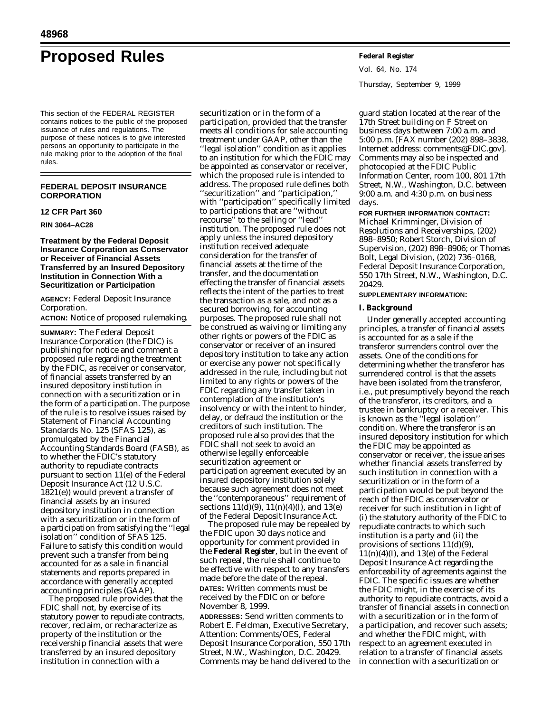# **Proposed Rules Federal Register**

This section of the FEDERAL REGISTER contains notices to the public of the proposed issuance of rules and regulations. The purpose of these notices is to give interested persons an opportunity to participate in the rule making prior to the adoption of the final rules.

# **FEDERAL DEPOSIT INSURANCE CORPORATION**

## **12 CFR Part 360**

# **RIN 3064–AC28**

# **Treatment by the Federal Deposit Insurance Corporation as Conservator or Receiver of Financial Assets Transferred by an Insured Depository Institution in Connection With a Securitization or Participation**

**AGENCY:** Federal Deposit Insurance Corporation.

# **ACTION:** Notice of proposed rulemaking.

**SUMMARY:** The Federal Deposit Insurance Corporation (the FDIC) is publishing for notice and comment a proposed rule regarding the treatment by the FDIC, as receiver or conservator, of financial assets transferred by an insured depository institution in connection with a securitization or in the form of a participation. The purpose of the rule is to resolve issues raised by Statement of Financial Accounting Standards No. 125 (SFAS 125), as promulgated by the Financial Accounting Standards Board (FASB), as to whether the FDIC's statutory authority to repudiate contracts pursuant to section 11(e) of the Federal Deposit Insurance Act (12 U.S.C. 1821(e)) would prevent a transfer of financial assets by an insured depository institution in connection with a securitization or in the form of a participation from satisfying the ''legal isolation'' condition of SFAS 125. Failure to satisfy this condition would prevent such a transfer from being accounted for as a sale in financial statements and reports prepared in accordance with generally accepted accounting principles (GAAP).

The proposed rule provides that the FDIC shall not, by exercise of its statutory power to repudiate contracts, recover, reclaim, or recharacterize as property of the institution or the receivership financial assets that were transferred by an insured depository institution in connection with a

securitization or in the form of a participation, provided that the transfer meets all conditions for sale accounting treatment under GAAP, other than the ''legal isolation'' condition as it applies to an institution for which the FDIC may be appointed as conservator or receiver, which the proposed rule is intended to address. The proposed rule defines both ''securitization'' and ''participation,'' with ''participation'' specifically limited to participations that are ''without recourse'' to the selling or ''lead'' institution. The proposed rule does not apply unless the insured depository institution received adequate consideration for the transfer of financial assets at the time of the transfer, and the documentation effecting the transfer of financial assets reflects the intent of the parties to treat the transaction as a sale, and not as a secured borrowing, for accounting purposes. The proposed rule shall not be construed as waiving or limiting any other rights or powers of the FDIC as conservator or receiver of an insured depository institution to take any action or exercise any power not specifically addressed in the rule, including but not limited to any rights or powers of the FDIC regarding any transfer taken in contemplation of the institution's insolvency or with the intent to hinder, delay, or defraud the institution or the creditors of such institution. The proposed rule also provides that the FDIC shall not seek to avoid an otherwise legally enforceable securitization agreement or participation agreement executed by an insured depository institution solely because such agreement does not meet the ''contemporaneous'' requirement of sections  $11(d)(9)$ ,  $11(n)(4)(I)$ , and  $13(e)$ of the Federal Deposit Insurance Act.

The proposed rule may be repealed by the FDIC upon 30 days notice and opportunity for comment provided in the **Federal Register**, but in the event of such repeal, the rule shall continue to be effective with respect to any transfers made before the date of the repeal. **DATES:** Written comments must be received by the FDIC on or before November 8, 1999.

**ADDRESSES:** Send written comments to Robert E. Feldman, Executive Secretary, Attention: Comments/OES, Federal Deposit Insurance Corporation, 550 17th Street, N.W., Washington, D.C. 20429. Comments may be hand delivered to the

Vol. 64, No. 174 Thursday, September 9, 1999

guard station located at the rear of the 17th Street building on F Street on business days between 7:00 a.m. and 5:00 p.m. [FAX number (202) 898–3838, Internet address: *comments@FDIC.gov*]. Comments may also be inspected and photocopied at the FDIC Public Information Center, room 100, 801 17th Street, N.W., Washington, D.C. between 9:00 a.m. and 4:30 p.m. on business days.

**FOR FURTHER INFORMATION CONTACT:** Michael Krimminger, Division of Resolutions and Receiverships, (202) 898–8950; Robert Storch, Division of Supervision, (202) 898–8906; or Thomas Bolt, Legal Division, (202) 736–0168, Federal Deposit Insurance Corporation, 550 17th Street, N.W., Washington, D.C. 20429.

# **SUPPLEMENTARY INFORMATION:**

# **I. Background**

Under generally accepted accounting principles, a transfer of financial assets is accounted for as a sale if the transferor surrenders control over the assets. One of the conditions for determining whether the transferor has surrendered control is that the assets have been isolated from the transferor, i.e., put presumptively beyond the reach of the transferor, its creditors, and a trustee in bankruptcy or a receiver. This is known as the ''legal isolation'' condition. Where the transferor is an insured depository institution for which the FDIC may be appointed as conservator or receiver, the issue arises whether financial assets transferred by such institution in connection with a securitization or in the form of a participation would be put beyond the reach of the FDIC as conservator or receiver for such institution in light of (i) the statutory authority of the FDIC to repudiate contracts to which such institution is a party and (ii) the provisions of sections 11(d)(9),  $11(n)(4)(I)$ , and  $13(e)$  of the Federal Deposit Insurance Act regarding the enforceability of agreements against the FDIC. The specific issues are whether the FDIC might, in the exercise of its authority to repudiate contracts, avoid a transfer of financial assets in connection with a securitization or in the form of a participation, and recover such assets; and whether the FDIC might, with respect to an agreement executed in relation to a transfer of financial assets in connection with a securitization or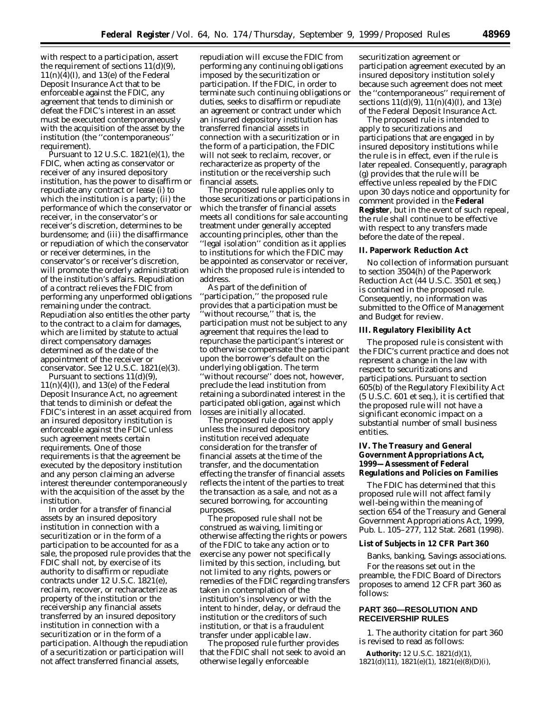with respect to a participation, assert the requirement of sections 11(d)(9),  $11(n)(4)(I)$ , and  $13(e)$  of the Federal Deposit Insurance Act that to be enforceable against the FDIC, any agreement that tends to diminish or defeat the FDIC's interest in an asset must be executed contemporaneously with the acquisition of the asset by the institution (the ''contemporaneous'' requirement).

Pursuant to 12 U.S.C. 1821(e)(1), the FDIC, when acting as conservator or receiver of any insured depository institution, has the power to disaffirm or repudiate any contract or lease (i) to which the institution is a party; (ii) the performance of which the conservator or receiver, in the conservator's or receiver's discretion, determines to be burdensome; and (iii) the disaffirmance or repudiation of which the conservator or receiver determines, in the conservator's or receiver's discretion, will promote the orderly administration of the institution's affairs. Repudiation of a contract relieves the FDIC from performing any unperformed obligations remaining under the contract. Repudiation also entitles the other party to the contract to a claim for damages, which are limited by statute to actual direct compensatory damages determined as of the date of the appointment of the receiver or conservator. *See* 12 U.S.C. 1821(e)(3).

Pursuant to sections 11(d)(9),  $11(n)(4)(I)$ , and  $13(e)$  of the Federal Deposit Insurance Act, no agreement that tends to diminish or defeat the FDIC's interest in an asset acquired from an insured depository institution is enforceable against the FDIC unless such agreement meets certain requirements. One of those requirements is that the agreement be executed by the depository institution and any person claiming an adverse interest thereunder contemporaneously with the acquisition of the asset by the institution.

In order for a transfer of financial assets by an insured depository institution in connection with a securitization or in the form of a participation to be accounted for as a sale, the proposed rule provides that the FDIC shall not, by exercise of its authority to disaffirm or repudiate contracts under 12 U.S.C. 1821(e), reclaim, recover, or recharacterize as property of the institution or the receivership any financial assets transferred by an insured depository institution in connection with a securitization or in the form of a participation. Although the repudiation of a securitization or participation will not affect transferred financial assets,

repudiation will excuse the FDIC from performing any continuing obligations imposed by the securitization or participation. If the FDIC, in order to terminate such continuing obligations or duties, seeks to disaffirm or repudiate an agreement or contract under which an insured depository institution has transferred financial assets in connection with a securitization or in the form of a participation, the FDIC will not seek to reclaim, recover, or recharacterize as property of the institution or the receivership such financial assets.

The proposed rule applies only to those securitizations or participations in which the transfer of financial assets meets all conditions for sale accounting treatment under generally accepted accounting principles, other than the ''legal isolation'' condition as it applies to institutions for which the FDIC may be appointed as conservator or receiver, which the proposed rule is intended to address.

As part of the definition of ''participation,'' the proposed rule provides that a participation must be 'without recourse,'' that is, the participation must not be subject to any agreement that requires the lead to repurchase the participant's interest or to otherwise compensate the participant upon the borrower's default on the underlying obligation. The term ''without recourse'' does not, however, preclude the lead institution from retaining a subordinated interest in the participated obligation, against which losses are initially allocated.

The proposed rule does not apply unless the insured depository institution received adequate consideration for the transfer of financial assets at the time of the transfer, and the documentation effecting the transfer of financial assets reflects the intent of the parties to treat the transaction as a sale, and not as a secured borrowing, for accounting purposes.

The proposed rule shall not be construed as waiving, limiting or otherwise affecting the rights or powers of the FDIC to take any action or to exercise any power not specifically limited by this section, including, but not limited to any rights, powers or remedies of the FDIC regarding transfers taken in contemplation of the institution's insolvency or with the intent to hinder, delay, or defraud the institution or the creditors of such institution, or that is a fraudulent transfer under applicable law.

The proposed rule further provides that the FDIC shall not seek to avoid an otherwise legally enforceable

securitization agreement or participation agreement executed by an insured depository institution solely because such agreement does not meet the ''contemporaneous'' requirement of sections  $11(\dot{d})(9)$ ,  $11(n)(4)(I)$ , and  $13(e)$ of the Federal Deposit Insurance Act.

The proposed rule is intended to apply to securitizations and participations that are engaged in by insured depository institutions while the rule is in effect, even if the rule is later repealed. Consequently, paragraph (g) provides that the rule will be effective unless repealed by the FDIC upon 30 days notice and opportunity for comment provided in the **Federal Register**, but in the event of such repeal, the rule shall continue to be effective with respect to any transfers made before the date of the repeal.

# **II. Paperwork Reduction Act**

No collection of information pursuant to section 3504(h) of the Paperwork Reduction Act (44 U.S.C. 3501 *et seq.*) is contained in the proposed rule. Consequently, no information was submitted to the Office of Management and Budget for review.

#### **III. Regulatory Flexibility Act**

The proposed rule is consistent with the FDIC's current practice and does not represent a change in the law with respect to securitizations and participations. Pursuant to section 605(b) of the Regulatory Flexibility Act (5 U.S.C. 601 *et seq.*), it is certified that the proposed rule will not have a significant economic impact on a substantial number of small business entities.

# **IV. The Treasury and General Government Appropriations Act, 1999—Assessment of Federal Regulations and Policies on Families**

The FDIC has determined that this proposed rule will not affect family well-being within the meaning of section 654 of the Treasury and General Government Appropriations Act, 1999, Pub. L. 105–277, 112 Stat. 2681 (1998).

## **List of Subjects in 12 CFR Part 360**

Banks, banking, Savings associations. For the reasons set out in the preamble, the FDIC Board of Directors proposes to amend 12 CFR part 360 as follows:

# **PART 360—RESOLUTION AND RECEIVERSHIP RULES**

1. The authority citation for part 360 is revised to read as follows:

**Authority:** 12 U.S.C. 1821(d)(1),  $1821(d)(11)$ ,  $1821(e)(1)$ ,  $1821(e)(8)(D)(i)$ ,